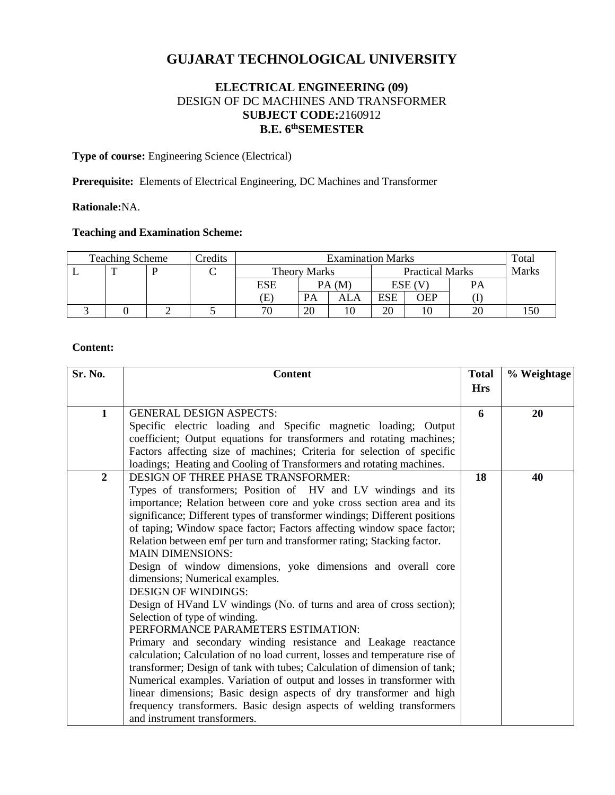# **GUJARAT TECHNOLOGICAL UNIVERSITY**

# **ELECTRICAL ENGINEERING (09)** DESIGN OF DC MACHINES AND TRANSFORMER **SUBJECT CODE:**2160912 **B.E. 6 thSEMESTER**

**Type of course:** Engineering Science (Electrical)

**Prerequisite:** Elements of Electrical Engineering, DC Machines and Transformer

## **Rationale:**NA.

### **Teaching and Examination Scheme:**

| <b>Teaching Scheme</b> |  |  | Credits | <b>Examination Marks</b> |           |                        |           |     | Total        |  |
|------------------------|--|--|---------|--------------------------|-----------|------------------------|-----------|-----|--------------|--|
|                        |  |  |         | <b>Theory Marks</b>      |           | <b>Practical Marks</b> |           |     | <b>Marks</b> |  |
|                        |  |  |         | <b>ESE</b>               | PA(M)     |                        | $ESE$ (V) |     | PА           |  |
|                        |  |  |         | Œ                        | <b>PA</b> | ALA                    | ESE       | OEP |              |  |
|                        |  |  |         | 70                       | 20        |                        | 20        |     | 20           |  |

#### **Content:**

| Sr. No.        | <b>Content</b>                                                                                                                                      | <b>Total</b> | % Weightage |
|----------------|-----------------------------------------------------------------------------------------------------------------------------------------------------|--------------|-------------|
|                |                                                                                                                                                     | <b>Hrs</b>   |             |
|                |                                                                                                                                                     |              |             |
| 1              | <b>GENERAL DESIGN ASPECTS:</b>                                                                                                                      | 6            | 20          |
|                | Specific electric loading and Specific magnetic loading; Output                                                                                     |              |             |
|                | coefficient; Output equations for transformers and rotating machines;                                                                               |              |             |
|                | Factors affecting size of machines; Criteria for selection of specific                                                                              |              |             |
|                | loadings; Heating and Cooling of Transformers and rotating machines.                                                                                |              |             |
| $\overline{2}$ | <b>DESIGN OF THREE PHASE TRANSFORMER:</b>                                                                                                           | 18           | 40          |
|                | Types of transformers; Position of HV and LV windings and its                                                                                       |              |             |
|                | importance; Relation between core and yoke cross section area and its<br>significance; Different types of transformer windings; Different positions |              |             |
|                | of taping; Window space factor; Factors affecting window space factor;                                                                              |              |             |
|                | Relation between emf per turn and transformer rating; Stacking factor.                                                                              |              |             |
|                | <b>MAIN DIMENSIONS:</b>                                                                                                                             |              |             |
|                | Design of window dimensions, yoke dimensions and overall core                                                                                       |              |             |
|                | dimensions; Numerical examples.                                                                                                                     |              |             |
|                | <b>DESIGN OF WINDINGS:</b>                                                                                                                          |              |             |
|                | Design of HVand LV windings (No. of turns and area of cross section);                                                                               |              |             |
|                | Selection of type of winding.                                                                                                                       |              |             |
|                | PERFORMANCE PARAMETERS ESTIMATION:                                                                                                                  |              |             |
|                | Primary and secondary winding resistance and Leakage reactance                                                                                      |              |             |
|                | calculation; Calculation of no load current, losses and temperature rise of                                                                         |              |             |
|                | transformer; Design of tank with tubes; Calculation of dimension of tank;                                                                           |              |             |
|                | Numerical examples. Variation of output and losses in transformer with                                                                              |              |             |
|                | linear dimensions; Basic design aspects of dry transformer and high                                                                                 |              |             |
|                | frequency transformers. Basic design aspects of welding transformers                                                                                |              |             |
|                | and instrument transformers.                                                                                                                        |              |             |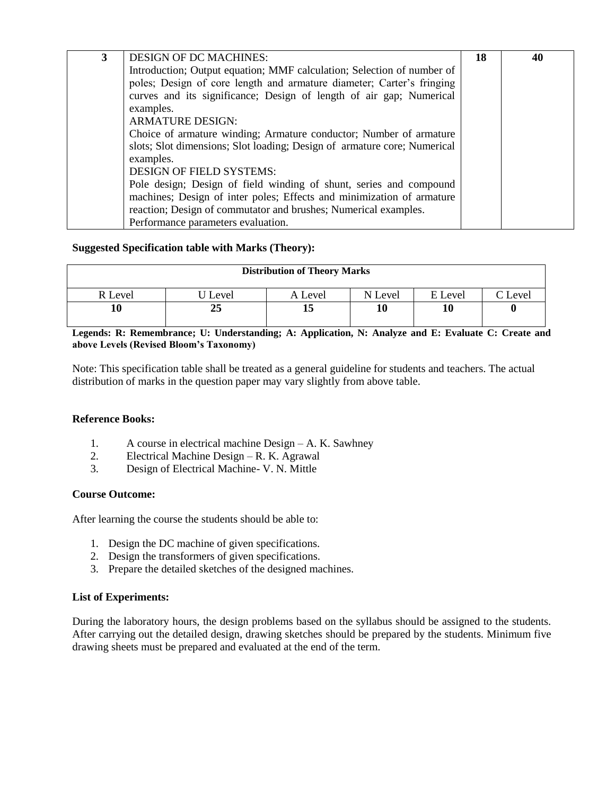| 3 | <b>DESIGN OF DC MACHINES:</b>                                            | 18 | 40 |
|---|--------------------------------------------------------------------------|----|----|
|   | Introduction; Output equation; MMF calculation; Selection of number of   |    |    |
|   | poles; Design of core length and armature diameter; Carter's fringing    |    |    |
|   | curves and its significance; Design of length of air gap; Numerical      |    |    |
|   | examples.                                                                |    |    |
|   | <b>ARMATURE DESIGN:</b>                                                  |    |    |
|   | Choice of armature winding; Armature conductor; Number of armature       |    |    |
|   | slots; Slot dimensions; Slot loading; Design of armature core; Numerical |    |    |
|   | examples.                                                                |    |    |
|   | <b>DESIGN OF FIELD SYSTEMS:</b>                                          |    |    |
|   | Pole design; Design of field winding of shunt, series and compound       |    |    |
|   | machines; Design of inter poles; Effects and minimization of armature    |    |    |
|   | reaction; Design of commutator and brushes; Numerical examples.          |    |    |
|   | Performance parameters evaluation.                                       |    |    |

## **Suggested Specification table with Marks (Theory):**

| <b>Distribution of Theory Marks</b> |       |         |         |         |                    |  |  |  |
|-------------------------------------|-------|---------|---------|---------|--------------------|--|--|--|
| R Level                             | Level | A Level | N Level | E Level | $\mathbb{C}$ Level |  |  |  |
| 10                                  | 25    |         |         | 10      |                    |  |  |  |

**Legends: R: Remembrance; U: Understanding; A: Application, N: Analyze and E: Evaluate C: Create and above Levels (Revised Bloom's Taxonomy)**

Note: This specification table shall be treated as a general guideline for students and teachers. The actual distribution of marks in the question paper may vary slightly from above table.

#### **Reference Books:**

- 1. A course in electrical machine Design A. K. Sawhney
- 2. Electrical Machine Design R. K. Agrawal
- 3. Design of Electrical Machine- V. N. Mittle

#### **Course Outcome:**

After learning the course the students should be able to:

- 1. Design the DC machine of given specifications.
- 2. Design the transformers of given specifications.
- 3. Prepare the detailed sketches of the designed machines.

#### **List of Experiments:**

During the laboratory hours, the design problems based on the syllabus should be assigned to the students. After carrying out the detailed design, drawing sketches should be prepared by the students. Minimum five drawing sheets must be prepared and evaluated at the end of the term.